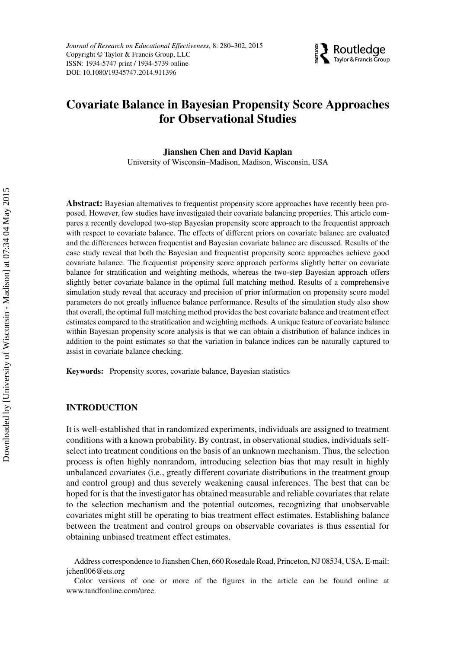

# **Covariate Balance in Bayesian Propensity Score Approaches for Observational Studies**

#### **Jianshen Chen and David Kaplan**

University of Wisconsin–Madison, Madison, Wisconsin, USA

**Abstract:** Bayesian alternatives to frequentist propensity score approaches have recently been proposed. However, few studies have investigated their covariate balancing properties. This article compares a recently developed two-step Bayesian propensity score approach to the frequentist approach with respect to covariate balance. The effects of different priors on covariate balance are evaluated and the differences between frequentist and Bayesian covariate balance are discussed. Results of the case study reveal that both the Bayesian and frequentist propensity score approaches achieve good covariate balance. The frequentist propensity score approach performs slightly better on covariate balance for stratification and weighting methods, whereas the two-step Bayesian approach offers slightly better covariate balance in the optimal full matching method. Results of a comprehensive simulation study reveal that accuracy and precision of prior information on propensity score model parameters do not greatly influence balance performance. Results of the simulation study also show that overall, the optimal full matching method provides the best covariate balance and treatment effect estimates compared to the stratification and weighting methods. A unique feature of covariate balance within Bayesian propensity score analysis is that we can obtain a distribution of balance indices in addition to the point estimates so that the variation in balance indices can be naturally captured to assist in covariate balance checking.

**Keywords:** Propensity scores, covariate balance, Bayesian statistics

# **INTRODUCTION**

It is well-established that in randomized experiments, individuals are assigned to treatment conditions with a known probability. By contrast, in observational studies, individuals selfselect into treatment conditions on the basis of an unknown mechanism. Thus, the selection process is often highly nonrandom, introducing selection bias that may result in highly unbalanced covariates (i.e., greatly different covariate distributions in the treatment group and control group) and thus severely weakening causal inferences. The best that can be hoped for is that the investigator has obtained measurable and reliable covariates that relate to the selection mechanism and the potential outcomes, recognizing that unobservable covariates might still be operating to bias treatment effect estimates. Establishing balance between the treatment and control groups on observable covariates is thus essential for obtaining unbiased treatment effect estimates.

Address correspondence to Jianshen Chen, 660 Rosedale Road, Princeton, NJ 08534, USA. E-mail: jchen006@ets.org

Color versions of one or more of the figures in the article can be found online at www.tandfonline.com/uree.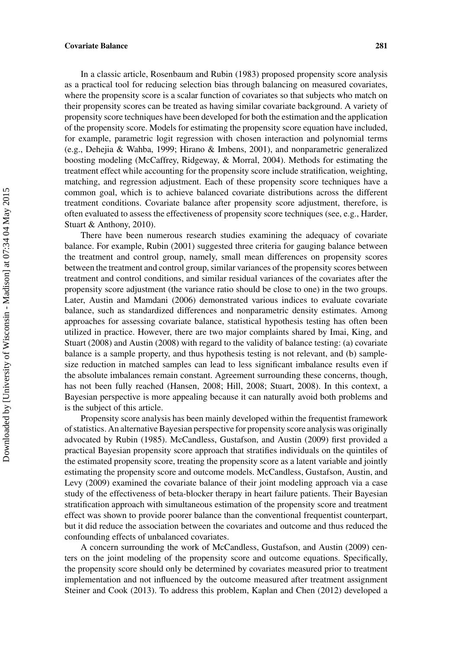In a classic article, Rosenbaum and Rubin (1983) proposed propensity score analysis

as a practical tool for reducing selection bias through balancing on measured covariates, where the propensity score is a scalar function of covariates so that subjects who match on their propensity scores can be treated as having similar covariate background. A variety of propensity score techniques have been developed for both the estimation and the application of the propensity score. Models for estimating the propensity score equation have included, for example, parametric logit regression with chosen interaction and polynomial terms (e.g., Dehejia & Wahba, 1999; Hirano & Imbens, 2001), and nonparametric generalized boosting modeling (McCaffrey, Ridgeway, & Morral, 2004). Methods for estimating the treatment effect while accounting for the propensity score include stratification, weighting, matching, and regression adjustment. Each of these propensity score techniques have a common goal, which is to achieve balanced covariate distributions across the different treatment conditions. Covariate balance after propensity score adjustment, therefore, is often evaluated to assess the effectiveness of propensity score techniques (see, e.g., Harder, Stuart & Anthony, 2010).

There have been numerous research studies examining the adequacy of covariate balance. For example, Rubin (2001) suggested three criteria for gauging balance between the treatment and control group, namely, small mean differences on propensity scores between the treatment and control group, similar variances of the propensity scores between treatment and control conditions, and similar residual variances of the covariates after the propensity score adjustment (the variance ratio should be close to one) in the two groups. Later, Austin and Mamdani (2006) demonstrated various indices to evaluate covariate balance, such as standardized differences and nonparametric density estimates. Among approaches for assessing covariate balance, statistical hypothesis testing has often been utilized in practice. However, there are two major complaints shared by Imai, King, and Stuart (2008) and Austin (2008) with regard to the validity of balance testing: (a) covariate balance is a sample property, and thus hypothesis testing is not relevant, and (b) samplesize reduction in matched samples can lead to less significant imbalance results even if the absolute imbalances remain constant. Agreement surrounding these concerns, though, has not been fully reached (Hansen, 2008; Hill, 2008; Stuart, 2008). In this context, a Bayesian perspective is more appealing because it can naturally avoid both problems and is the subject of this article.

Propensity score analysis has been mainly developed within the frequentist framework of statistics. An alternative Bayesian perspective for propensity score analysis was originally advocated by Rubin (1985). McCandless, Gustafson, and Austin (2009) first provided a practical Bayesian propensity score approach that stratifies individuals on the quintiles of the estimated propensity score, treating the propensity score as a latent variable and jointly estimating the propensity score and outcome models. McCandless, Gustafson, Austin, and Levy (2009) examined the covariate balance of their joint modeling approach via a case study of the effectiveness of beta-blocker therapy in heart failure patients. Their Bayesian stratification approach with simultaneous estimation of the propensity score and treatment effect was shown to provide poorer balance than the conventional frequentist counterpart, but it did reduce the association between the covariates and outcome and thus reduced the confounding effects of unbalanced covariates.

A concern surrounding the work of McCandless, Gustafson, and Austin (2009) centers on the joint modeling of the propensity score and outcome equations. Specifically, the propensity score should only be determined by covariates measured prior to treatment implementation and not influenced by the outcome measured after treatment assignment Steiner and Cook (2013). To address this problem, Kaplan and Chen (2012) developed a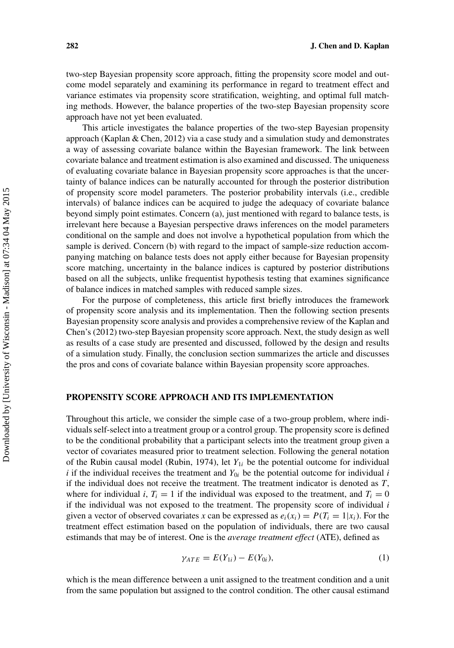two-step Bayesian propensity score approach, fitting the propensity score model and outcome model separately and examining its performance in regard to treatment effect and variance estimates via propensity score stratification, weighting, and optimal full matching methods. However, the balance properties of the two-step Bayesian propensity score approach have not yet been evaluated.

This article investigates the balance properties of the two-step Bayesian propensity approach (Kaplan & Chen, 2012) via a case study and a simulation study and demonstrates a way of assessing covariate balance within the Bayesian framework. The link between covariate balance and treatment estimation is also examined and discussed. The uniqueness of evaluating covariate balance in Bayesian propensity score approaches is that the uncertainty of balance indices can be naturally accounted for through the posterior distribution of propensity score model parameters. The posterior probability intervals (i.e., credible intervals) of balance indices can be acquired to judge the adequacy of covariate balance beyond simply point estimates. Concern (a), just mentioned with regard to balance tests, is irrelevant here because a Bayesian perspective draws inferences on the model parameters conditional on the sample and does not involve a hypothetical population from which the sample is derived. Concern (b) with regard to the impact of sample-size reduction accompanying matching on balance tests does not apply either because for Bayesian propensity score matching, uncertainty in the balance indices is captured by posterior distributions based on all the subjects, unlike frequentist hypothesis testing that examines significance of balance indices in matched samples with reduced sample sizes.

For the purpose of completeness, this article first briefly introduces the framework of propensity score analysis and its implementation. Then the following section presents Bayesian propensity score analysis and provides a comprehensive review of the Kaplan and Chen's (2012) two-step Bayesian propensity score approach. Next, the study design as well as results of a case study are presented and discussed, followed by the design and results of a simulation study. Finally, the conclusion section summarizes the article and discusses the pros and cons of covariate balance within Bayesian propensity score approaches.

# **PROPENSITY SCORE APPROACH AND ITS IMPLEMENTATION**

Throughout this article, we consider the simple case of a two-group problem, where individuals self-select into a treatment group or a control group. The propensity score is defined to be the conditional probability that a participant selects into the treatment group given a vector of covariates measured prior to treatment selection. Following the general notation of the Rubin causal model (Rubin, 1974), let  $Y_{1i}$  be the potential outcome for individual *i* if the individual receives the treatment and  $Y_{0i}$  be the potential outcome for individual *i* if the individual does not receive the treatment. The treatment indicator is denoted as *T*, where for individual *i*,  $T_i = 1$  if the individual was exposed to the treatment, and  $T_i = 0$ if the individual was not exposed to the treatment. The propensity score of individual *i* given a vector of observed covariates x can be expressed as  $e_i(x_i) = P(T_i = 1|x_i)$ . For the treatment effect estimation based on the population of individuals, there are two causal estimands that may be of interest. One is the *average treatment effect* (ATE), defined as

$$
\gamma_{ATE} = E(Y_{1i}) - E(Y_{0i}),\tag{1}
$$

which is the mean difference between a unit assigned to the treatment condition and a unit from the same population but assigned to the control condition. The other causal estimand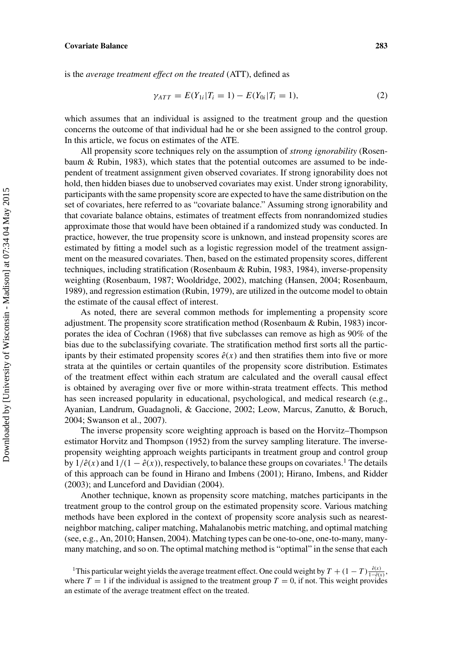is the *average treatment effect on the treated* (ATT), defined as

$$
\gamma_{ATT} = E(Y_{1i} | T_i = 1) - E(Y_{0i} | T_i = 1), \tag{2}
$$

which assumes that an individual is assigned to the treatment group and the question concerns the outcome of that individual had he or she been assigned to the control group. In this article, we focus on estimates of the ATE.

All propensity score techniques rely on the assumption of *strong ignorability* (Rosenbaum & Rubin, 1983), which states that the potential outcomes are assumed to be independent of treatment assignment given observed covariates. If strong ignorability does not hold, then hidden biases due to unobserved covariates may exist. Under strong ignorability, participants with the same propensity score are expected to have the same distribution on the set of covariates, here referred to as "covariate balance." Assuming strong ignorability and that covariate balance obtains, estimates of treatment effects from nonrandomized studies approximate those that would have been obtained if a randomized study was conducted. In practice, however, the true propensity score is unknown, and instead propensity scores are estimated by fitting a model such as a logistic regression model of the treatment assignment on the measured covariates. Then, based on the estimated propensity scores, different techniques, including stratification (Rosenbaum & Rubin, 1983, 1984), inverse-propensity weighting (Rosenbaum, 1987; Wooldridge, 2002), matching (Hansen, 2004; Rosenbaum, 1989), and regression estimation (Rubin, 1979), are utilized in the outcome model to obtain the estimate of the causal effect of interest.

As noted, there are several common methods for implementing a propensity score adjustment. The propensity score stratification method (Rosenbaum & Rubin, 1983) incorporates the idea of Cochran (1968) that five subclasses can remove as high as 90% of the bias due to the subclassifying covariate. The stratification method first sorts all the participants by their estimated propensity scores  $\hat{e}(x)$  and then stratifies them into five or more strata at the quintiles or certain quantiles of the propensity score distribution. Estimates of the treatment effect within each stratum are calculated and the overall causal effect is obtained by averaging over five or more within-strata treatment effects. This method has seen increased popularity in educational, psychological, and medical research (e.g., Ayanian, Landrum, Guadagnoli, & Gaccione, 2002; Leow, Marcus, Zanutto, & Boruch, 2004; Swanson et al., 2007).

The inverse propensity score weighting approach is based on the Horvitz–Thompson estimator Horvitz and Thompson (1952) from the survey sampling literature. The inversepropensity weighting approach weights participants in treatment group and control group by  $1/\hat{e}(x)$  and  $1/(1 - \hat{e}(x))$ , respectively, to balance these groups on covariates.<sup>1</sup> The details of this approach can be found in Hirano and Imbens (2001); Hirano, Imbens, and Ridder (2003); and Lunceford and Davidian (2004).

Another technique, known as propensity score matching, matches participants in the treatment group to the control group on the estimated propensity score. Various matching methods have been explored in the context of propensity score analysis such as nearestneighbor matching, caliper matching, Mahalanobis metric matching, and optimal matching (see, e.g., An, 2010; Hansen, 2004). Matching types can be one-to-one, one-to-many, manymany matching, and so on. The optimal matching method is "optimal" in the sense that each

<sup>&</sup>lt;sup>1</sup>This particular weight yields the average treatment effect. One could weight by  $T + (1 - T) \frac{\hat{e}(x)}{1 - \hat{e}(x)}$ , here  $T = 1$  if the individual is assigned to the treatment group  $T = 0$  if not. This weight provides This particular weight yields the average treatment effect. She could weight by  $T + (T - T)_{1-\hat{e}(x)}$ ,<br>where  $T = 1$  if the individual is assigned to the treatment group  $T = 0$ , if not. This weight provides an estimate of the average treatment effect on the treated.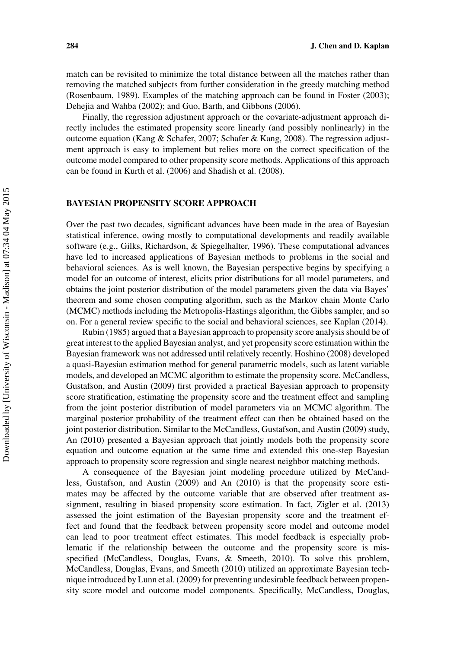match can be revisited to minimize the total distance between all the matches rather than removing the matched subjects from further consideration in the greedy matching method (Rosenbaum, 1989). Examples of the matching approach can be found in Foster (2003); Dehejia and Wahba (2002); and Guo, Barth, and Gibbons (2006).

Finally, the regression adjustment approach or the covariate-adjustment approach directly includes the estimated propensity score linearly (and possibly nonlinearly) in the outcome equation (Kang & Schafer, 2007; Schafer & Kang, 2008). The regression adjustment approach is easy to implement but relies more on the correct specification of the outcome model compared to other propensity score methods. Applications of this approach can be found in Kurth et al. (2006) and Shadish et al. (2008).

### **BAYESIAN PROPENSITY SCORE APPROACH**

Over the past two decades, significant advances have been made in the area of Bayesian statistical inference, owing mostly to computational developments and readily available software (e.g., Gilks, Richardson, & Spiegelhalter, 1996). These computational advances have led to increased applications of Bayesian methods to problems in the social and behavioral sciences. As is well known, the Bayesian perspective begins by specifying a model for an outcome of interest, elicits prior distributions for all model parameters, and obtains the joint posterior distribution of the model parameters given the data via Bayes' theorem and some chosen computing algorithm, such as the Markov chain Monte Carlo (MCMC) methods including the Metropolis-Hastings algorithm, the Gibbs sampler, and so on. For a general review specific to the social and behavioral sciences, see Kaplan (2014).

Rubin (1985) argued that a Bayesian approach to propensity score analysis should be of great interest to the applied Bayesian analyst, and yet propensity score estimation within the Bayesian framework was not addressed until relatively recently. Hoshino (2008) developed a quasi-Bayesian estimation method for general parametric models, such as latent variable models, and developed an MCMC algorithm to estimate the propensity score. McCandless, Gustafson, and Austin (2009) first provided a practical Bayesian approach to propensity score stratification, estimating the propensity score and the treatment effect and sampling from the joint posterior distribution of model parameters via an MCMC algorithm. The marginal posterior probability of the treatment effect can then be obtained based on the joint posterior distribution. Similar to the McCandless, Gustafson, and Austin (2009) study, An (2010) presented a Bayesian approach that jointly models both the propensity score equation and outcome equation at the same time and extended this one-step Bayesian approach to propensity score regression and single nearest neighbor matching methods.

A consequence of the Bayesian joint modeling procedure utilized by McCandless, Gustafson, and Austin (2009) and An (2010) is that the propensity score estimates may be affected by the outcome variable that are observed after treatment assignment, resulting in biased propensity score estimation. In fact, Zigler et al. (2013) assessed the joint estimation of the Bayesian propensity score and the treatment effect and found that the feedback between propensity score model and outcome model can lead to poor treatment effect estimates. This model feedback is especially problematic if the relationship between the outcome and the propensity score is misspecified (McCandless, Douglas, Evans, & Smeeth, 2010). To solve this problem, McCandless, Douglas, Evans, and Smeeth (2010) utilized an approximate Bayesian technique introduced by Lunn et al. (2009) for preventing undesirable feedback between propensity score model and outcome model components. Specifically, McCandless, Douglas,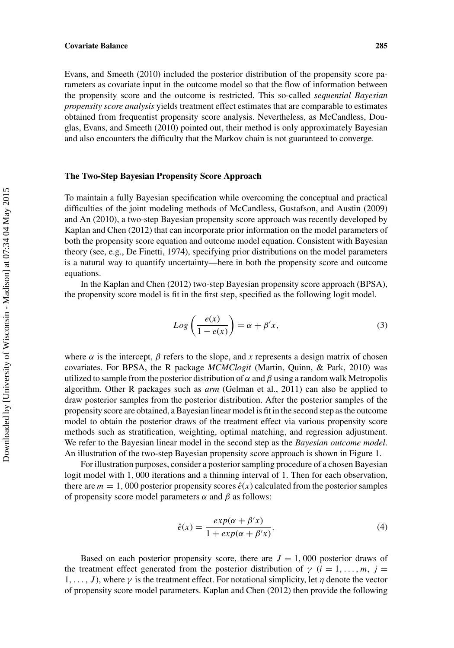Evans, and Smeeth (2010) included the posterior distribution of the propensity score parameters as covariate input in the outcome model so that the flow of information between the propensity score and the outcome is restricted. This so-called *sequential Bayesian propensity score analysis* yields treatment effect estimates that are comparable to estimates obtained from frequentist propensity score analysis. Nevertheless, as McCandless, Douglas, Evans, and Smeeth (2010) pointed out, their method is only approximately Bayesian and also encounters the difficulty that the Markov chain is not guaranteed to converge.

### **The Two-Step Bayesian Propensity Score Approach**

To maintain a fully Bayesian specification while overcoming the conceptual and practical difficulties of the joint modeling methods of McCandless, Gustafson, and Austin (2009) and An (2010), a two-step Bayesian propensity score approach was recently developed by Kaplan and Chen (2012) that can incorporate prior information on the model parameters of both the propensity score equation and outcome model equation. Consistent with Bayesian theory (see, e.g., De Finetti, 1974), specifying prior distributions on the model parameters is a natural way to quantify uncertainty—here in both the propensity score and outcome equations.

In the Kaplan and Chen (2012) two-step Bayesian propensity score approach (BPSA), the propensity score model is fit in the first step, specified as the following logit model.

$$
Log\left(\frac{e(x)}{1 - e(x)}\right) = \alpha + \beta' x,\tag{3}
$$

where  $\alpha$  is the intercept,  $\beta$  refers to the slope, and x represents a design matrix of chosen covariates. For BPSA, the R package *MCMClogit* (Martin, Quinn, & Park, 2010) was utilized to sample from the posterior distribution of  $\alpha$  and  $\beta$  using a random walk Metropolis algorithm. Other R packages such as *arm* (Gelman et al., 2011) can also be applied to draw posterior samples from the posterior distribution. After the posterior samples of the propensity score are obtained, a Bayesian linear model is fit in the second step as the outcome model to obtain the posterior draws of the treatment effect via various propensity score methods such as stratification, weighting, optimal matching, and regression adjustment. We refer to the Bayesian linear model in the second step as the *Bayesian outcome model*. An illustration of the two-step Bayesian propensity score approach is shown in Figure 1.

For illustration purposes, consider a posterior sampling procedure of a chosen Bayesian logit model with 1, 000 iterations and a thinning interval of 1. Then for each observation, there are  $m = 1,000$  posterior propensity scores  $\hat{e}(x)$  calculated from the posterior samples of propensity score model parameters  $\alpha$  and  $\beta$  as follows:

$$
\hat{e}(x) = \frac{\exp(\alpha + \beta'x)}{1 + \exp(\alpha + \beta'x)}.
$$
\n(4)

Based on each posterior propensity score, there are  $J = 1,000$  posterior draws of the treatment effect generated from the posterior distribution of  $\gamma$  ( $i = 1, \ldots, m$ ,  $j =$ 1,..., J), where  $\gamma$  is the treatment effect. For notational simplicity, let  $\eta$  denote the vector of propensity score model parameters. Kaplan and Chen (2012) then provide the following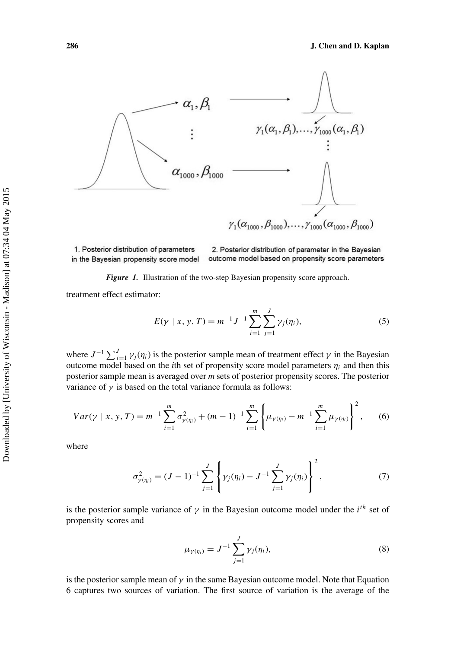

1. Posterior distribution of parameters 2. Posterior distribution of parameter in the Bayesian outcome model based on propensity score parameters in the Bayesian propensity score model

*Figure 1.* Illustration of the two-step Bayesian propensity score approach.

treatment effect estimator:

$$
E(\gamma \mid x, y, T) = m^{-1} J^{-1} \sum_{i=1}^{m} \sum_{j=1}^{J} \gamma_j(\eta_i),
$$
 (5)

where  $J^{-1} \sum_{j=1}^{J} \gamma_j(\eta_i)$  is the posterior sample mean of treatment effect  $\gamma$  in the Bayesian<br>outcome model based on the *i*th set of propensity score model parameters *n*: and then this outcome model based on the *i*th set of propensity score model parameters  $\eta_i$  and then this posterior sample mean is averaged over *m* sets of posterior propensity scores. The posterior variance of  $\gamma$  is based on the total variance formula as follows:

$$
Var(\gamma \mid x, y, T) = m^{-1} \sum_{i=1}^{m} \sigma_{\gamma(\eta_i)}^2 + (m-1)^{-1} \sum_{i=1}^{m} \left\{ \mu_{\gamma(\eta_i)} - m^{-1} \sum_{i=1}^{m} \mu_{\gamma(\eta_i)} \right\}^2, \quad (6)
$$

where

$$
\sigma_{\gamma(\eta_i)}^2 = (J-1)^{-1} \sum_{j=1}^J \left\{ \gamma_j(\eta_i) - J^{-1} \sum_{j=1}^J \gamma_j(\eta_i) \right\}^2, \tag{7}
$$

is the posterior sample variance of  $\gamma$  in the Bayesian outcome model under the i<sup>th</sup> set of propensity scores and

$$
\mu_{\gamma(\eta_i)} = J^{-1} \sum_{j=1}^{J} \gamma_j(\eta_i), \tag{8}
$$

is the posterior sample mean of  $\gamma$  in the same Bayesian outcome model. Note that Equation 6 captures two sources of variation. The first source of variation is the average of the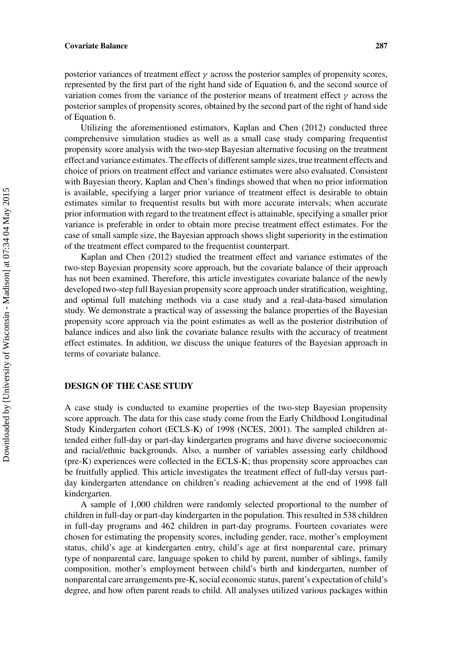posterior variances of treatment effect  $\gamma$  across the posterior samples of propensity scores, represented by the first part of the right hand side of Equation 6, and the second source of variation comes from the variance of the posterior means of treatment effect  $\gamma$  across the posterior samples of propensity scores, obtained by the second part of the right of hand side of Equation 6.

Utilizing the aforementioned estimators, Kaplan and Chen (2012) conducted three comprehensive simulation studies as well as a small case study comparing frequentist propensity score analysis with the two-step Bayesian alternative focusing on the treatment effect and variance estimates. The effects of different sample sizes, true treatment effects and choice of priors on treatment effect and variance estimates were also evaluated. Consistent with Bayesian theory, Kaplan and Chen's findings showed that when no prior information is available, specifying a larger prior variance of treatment effect is desirable to obtain estimates similar to frequentist results but with more accurate intervals; when accurate prior information with regard to the treatment effect is attainable, specifying a smaller prior variance is preferable in order to obtain more precise treatment effect estimates. For the case of small sample size, the Bayesian approach shows slight superiority in the estimation of the treatment effect compared to the frequentist counterpart.

Kaplan and Chen (2012) studied the treatment effect and variance estimates of the two-step Bayesian propensity score approach, but the covariate balance of their approach has not been examined. Therefore, this article investigates covariate balance of the newly developed two-step full Bayesian propensity score approach under stratification, weighting, and optimal full matching methods via a case study and a real-data-based simulation study. We demonstrate a practical way of assessing the balance properties of the Bayesian propensity score approach via the point estimates as well as the posterior distribution of balance indices and also link the covariate balance results with the accuracy of treatment effect estimates. In addition, we discuss the unique features of the Bayesian approach in terms of covariate balance.

# **DESIGN OF THE CASE STUDY**

A case study is conducted to examine properties of the two-step Bayesian propensity score approach. The data for this case study come from the Early Childhood Longitudinal Study Kindergarten cohort (ECLS-K) of 1998 (NCES, 2001). The sampled children attended either full-day or part-day kindergarten programs and have diverse socioeconomic and racial/ethnic backgrounds. Also, a number of variables assessing early childhood (pre-K) experiences were collected in the ECLS-K; thus propensity score approaches can be fruitfully applied. This article investigates the treatment effect of full-day versus partday kindergarten attendance on children's reading achievement at the end of 1998 fall kindergarten.

A sample of 1,000 children were randomly selected proportional to the number of children in full-day or part-day kindergarten in the population. This resulted in 538 children in full-day programs and 462 children in part-day programs. Fourteen covariates were chosen for estimating the propensity scores, including gender, race, mother's employment status, child's age at kindergarten entry, child's age at first nonparental care, primary type of nonparental care, language spoken to child by parent, number of siblings, family composition, mother's employment between child's birth and kindergarten, number of nonparental care arrangements pre-K, social economic status, parent's expectation of child's degree, and how often parent reads to child. All analyses utilized various packages within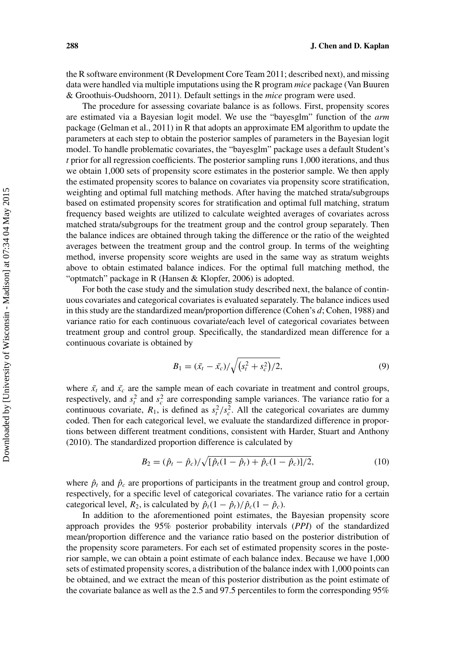the R software environment (R Development Core Team 2011; described next), and missing data were handled via multiple imputations using the R program *mice* package (Van Buuren & Groothuis-Oudshoorn, 2011). Default settings in the *mice* program were used.

The procedure for assessing covariate balance is as follows. First, propensity scores are estimated via a Bayesian logit model. We use the "bayesglm" function of the *arm* package (Gelman et al., 2011) in R that adopts an approximate EM algorithm to update the parameters at each step to obtain the posterior samples of parameters in the Bayesian logit model. To handle problematic covariates, the "bayesglm" package uses a default Student's *t* prior for all regression coefficients. The posterior sampling runs 1,000 iterations, and thus we obtain 1,000 sets of propensity score estimates in the posterior sample. We then apply the estimated propensity scores to balance on covariates via propensity score stratification, weighting and optimal full matching methods. After having the matched strata/subgroups based on estimated propensity scores for stratification and optimal full matching, stratum frequency based weights are utilized to calculate weighted averages of covariates across matched strata/subgroups for the treatment group and the control group separately. Then the balance indices are obtained through taking the difference or the ratio of the weighted averages between the treatment group and the control group. In terms of the weighting method, inverse propensity score weights are used in the same way as stratum weights above to obtain estimated balance indices. For the optimal full matching method, the "optmatch" package in R (Hansen & Klopfer, 2006) is adopted.

For both the case study and the simulation study described next, the balance of continuous covariates and categorical covariates is evaluated separately. The balance indices used in this study are the standardized mean/proportion difference (Cohen's *d*; Cohen, 1988) and variance ratio for each continuous covariate/each level of categorical covariates between treatment group and control group. Specifically, the standardized mean difference for a continuous covariate is obtained by

$$
B_1 = (\bar{x}_t - \bar{x}_c) / \sqrt{(s_t^2 + s_c^2) / 2},\tag{9}
$$

where  $\bar{x}_t$  and  $\bar{x}_c$  are the sample mean of each covariate in treatment and control groups, respectively, and  $s_t^2$  and  $s_c^2$  are corresponding sample variances. The variance ratio for a<br>continuous covariate  $R_t$ , is defined as  $s^2/s^2$ . All the categorical covariates are dummy continuous covariate,  $R_1$ , is defined as  $s_t^2/s_c^2$ . All the categorical covariates are dummy<br>coded. Then for each categorical level, we evaluate the standardized difference in proporcoded. Then for each categorical level, we evaluate the standardized difference in proportions between different treatment conditions, consistent with Harder, Stuart and Anthony (2010). The standardized proportion difference is calculated by

$$
B_2 = (\hat{p}_t - \hat{p}_c) / \sqrt{[\hat{p}_t(1 - \hat{p}_t) + \hat{p}_c(1 - \hat{p}_c)]/2},
$$
\n(10)

where  $\hat{p}_t$  and  $\hat{p}_c$  are proportions of participants in the treatment group and control group, respectively, for a specific level of categorical covariates. The variance ratio for a certain categorical level,  $R_2$ , is calculated by  $\hat{p}_t(1 - \hat{p}_t)/\hat{p}_c(1 - \hat{p}_c)$ .

In addition to the aforementioned point estimates, the Bayesian propensity score approach provides the 95% posterior probability intervals (*PPI*) of the standardized mean/proportion difference and the variance ratio based on the posterior distribution of the propensity score parameters. For each set of estimated propensity scores in the posterior sample, we can obtain a point estimate of each balance index. Because we have 1,000 sets of estimated propensity scores, a distribution of the balance index with 1,000 points can be obtained, and we extract the mean of this posterior distribution as the point estimate of the covariate balance as well as the 2.5 and 97.5 percentiles to form the corresponding 95%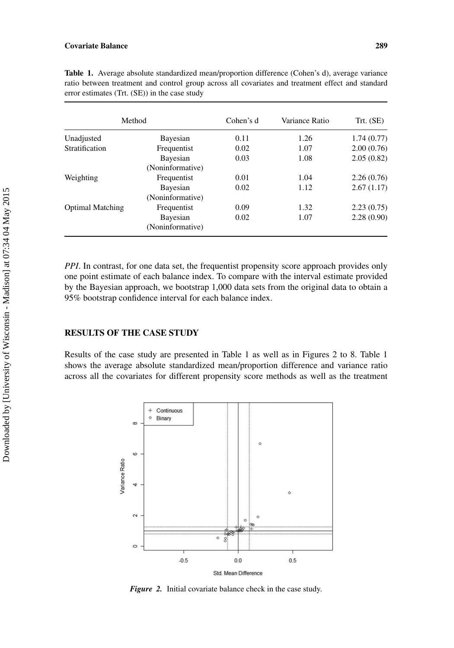| Method                  |                  | Cohen's d | Variance Ratio | $Trt.$ (SE) |
|-------------------------|------------------|-----------|----------------|-------------|
| Unadjusted              | Bayesian         | 0.11      | 1.26           | 1.74(0.77)  |
| Stratification          | Frequentist      | 0.02      | 1.07           | 2.00(0.76)  |
|                         | Bayesian         | 0.03      | 1.08           | 2.05(0.82)  |
|                         | (Noninformative) |           |                |             |
| Weighting               | Frequentist      | 0.01      | 1.04           | 2.26(0.76)  |
|                         | Bayesian         | 0.02      | 1.12           | 2.67(1.17)  |
|                         | (Noninformative) |           |                |             |
| <b>Optimal Matching</b> | Frequentist      | 0.09      | 1.32           | 2.23(0.75)  |
|                         | Bayesian         | 0.02      | 1.07           | 2.28(0.90)  |
|                         | (Noninformative) |           |                |             |

**Table 1.** Average absolute standardized mean/proportion difference (Cohen's d), average variance ratio between treatment and control group across all covariates and treatment effect and standard error estimates (Trt. (SE)) in the case study

*PPI*. In contrast, for one data set, the frequentist propensity score approach provides only one point estimate of each balance index. To compare with the interval estimate provided by the Bayesian approach, we bootstrap 1,000 data sets from the original data to obtain a 95% bootstrap confidence interval for each balance index.

# **RESULTS OF THE CASE STUDY**

Results of the case study are presented in Table 1 as well as in Figures 2 to 8. Table 1 shows the average absolute standardized mean/proportion difference and variance ratio across all the covariates for different propensity score methods as well as the treatment



*Figure 2.* Initial covariate balance check in the case study.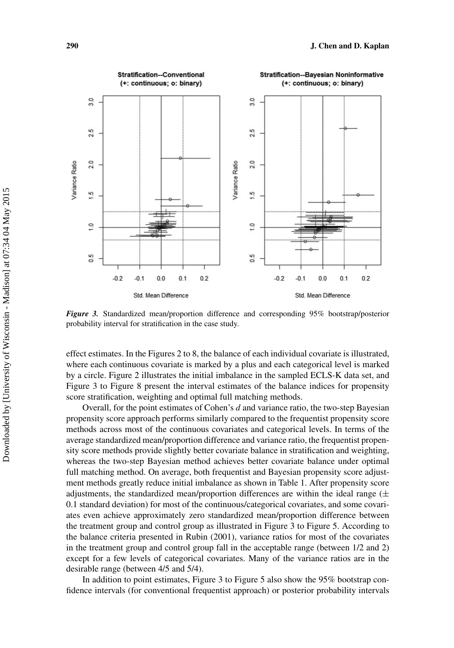

*Figure 3.* Standardized mean/proportion difference and corresponding 95% bootstrap/posterior probability interval for stratification in the case study.

effect estimates. In the Figures 2 to 8, the balance of each individual covariate is illustrated, where each continuous covariate is marked by a plus and each categorical level is marked by a circle. Figure 2 illustrates the initial imbalance in the sampled ECLS-K data set, and Figure 3 to Figure 8 present the interval estimates of the balance indices for propensity score stratification, weighting and optimal full matching methods.

Overall, for the point estimates of Cohen's *d* and variance ratio, the two-step Bayesian propensity score approach performs similarly compared to the frequentist propensity score methods across most of the continuous covariates and categorical levels. In terms of the average standardized mean/proportion difference and variance ratio, the frequentist propensity score methods provide slightly better covariate balance in stratification and weighting, whereas the two-step Bayesian method achieves better covariate balance under optimal full matching method. On average, both frequentist and Bayesian propensity score adjustment methods greatly reduce initial imbalance as shown in Table 1. After propensity score adjustments, the standardized mean/proportion differences are within the ideal range  $(\pm$ 0.1 standard deviation) for most of the continuous/categorical covariates, and some covariates even achieve approximately zero standardized mean/proportion difference between the treatment group and control group as illustrated in Figure 3 to Figure 5. According to the balance criteria presented in Rubin (2001), variance ratios for most of the covariates in the treatment group and control group fall in the acceptable range (between 1/2 and 2) except for a few levels of categorical covariates. Many of the variance ratios are in the desirable range (between 4/5 and 5/4).

In addition to point estimates, Figure 3 to Figure 5 also show the 95% bootstrap confidence intervals (for conventional frequentist approach) or posterior probability intervals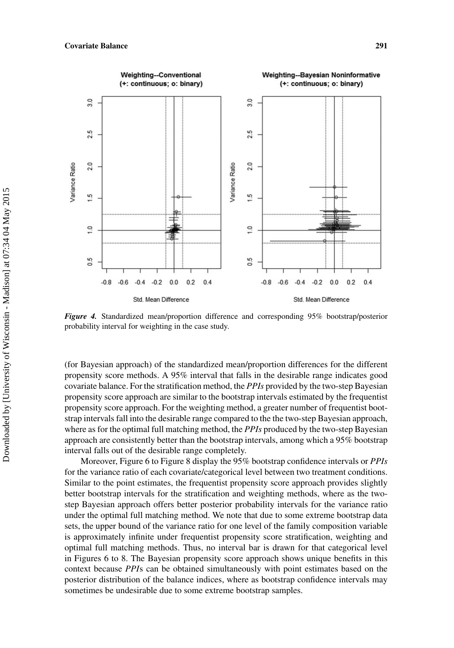

*Figure 4.* Standardized mean/proportion difference and corresponding 95% bootstrap/posterior probability interval for weighting in the case study.

(for Bayesian approach) of the standardized mean/proportion differences for the different propensity score methods. A 95% interval that falls in the desirable range indicates good covariate balance. For the stratification method, the *PPIs* provided by the two-step Bayesian propensity score approach are similar to the bootstrap intervals estimated by the frequentist propensity score approach. For the weighting method, a greater number of frequentist bootstrap intervals fall into the desirable range compared to the the two-step Bayesian approach, where as for the optimal full matching method, the *PPIs* produced by the two-step Bayesian approach are consistently better than the bootstrap intervals, among which a 95% bootstrap interval falls out of the desirable range completely.

Moreover, Figure 6 to Figure 8 display the 95% bootstrap confidence intervals or *PPIs* for the variance ratio of each covariate/categorical level between two treatment conditions. Similar to the point estimates, the frequentist propensity score approach provides slightly better bootstrap intervals for the stratification and weighting methods, where as the twostep Bayesian approach offers better posterior probability intervals for the variance ratio under the optimal full matching method. We note that due to some extreme bootstrap data sets, the upper bound of the variance ratio for one level of the family composition variable is approximately infinite under frequentist propensity score stratification, weighting and optimal full matching methods. Thus, no interval bar is drawn for that categorical level in Figures 6 to 8. The Bayesian propensity score approach shows unique benefits in this context because *PPI*s can be obtained simultaneously with point estimates based on the posterior distribution of the balance indices, where as bootstrap confidence intervals may sometimes be undesirable due to some extreme bootstrap samples.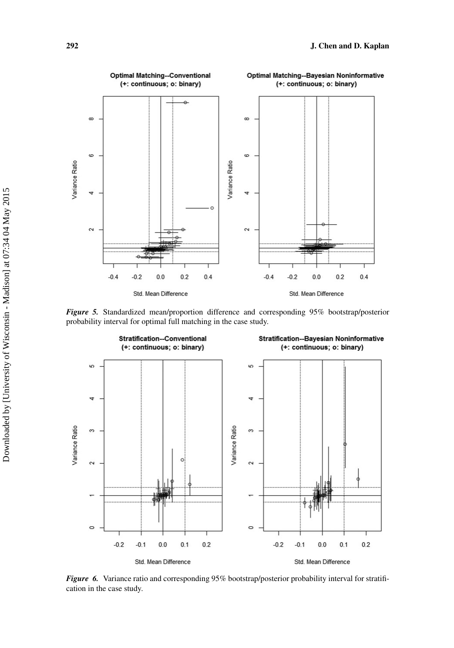

*Figure 5.* Standardized mean/proportion difference and corresponding 95% bootstrap/posterior probability interval for optimal full matching in the case study.



*Figure 6.* Variance ratio and corresponding 95% bootstrap/posterior probability interval for stratification in the case study.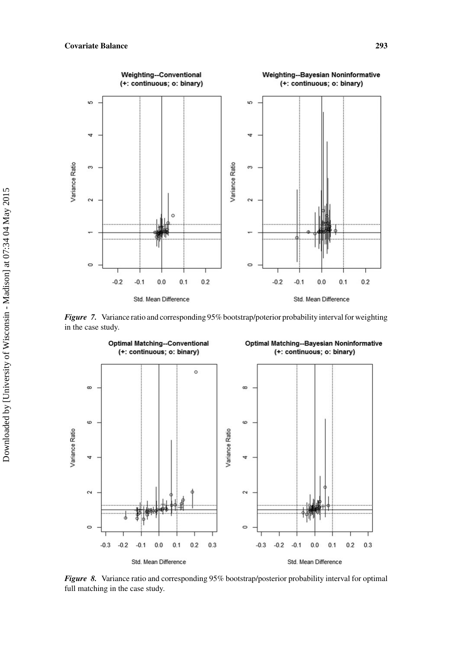

*Figure 7.* Variance ratio and corresponding 95% bootstrap/poterior probability interval for weighting in the case study.



*Figure 8.* Variance ratio and corresponding 95% bootstrap/posterior probability interval for optimal full matching in the case study.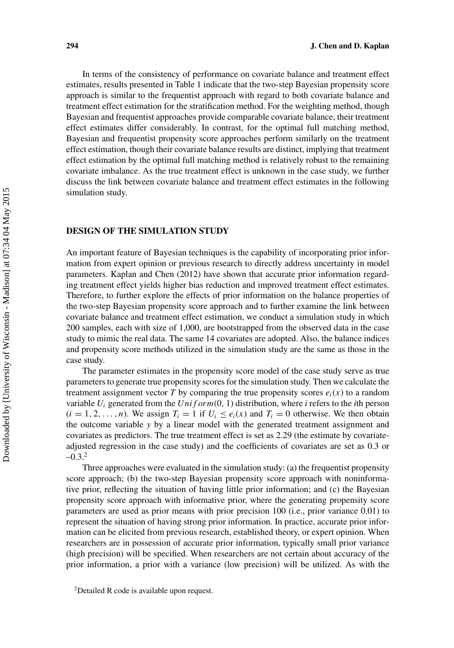In terms of the consistency of performance on covariate balance and treatment effect estimates, results presented in Table 1 indicate that the two-step Bayesian propensity score approach is similar to the frequentist approach with regard to both covariate balance and treatment effect estimation for the stratification method. For the weighting method, though Bayesian and frequentist approaches provide comparable covariate balance, their treatment effect estimates differ considerably. In contrast, for the optimal full matching method, Bayesian and frequentist propensity score approaches perform similarly on the treatment effect estimation, though their covariate balance results are distinct, implying that treatment effect estimation by the optimal full matching method is relatively robust to the remaining covariate imbalance. As the true treatment effect is unknown in the case study, we further discuss the link between covariate balance and treatment effect estimates in the following simulation study.

# **DESIGN OF THE SIMULATION STUDY**

An important feature of Bayesian techniques is the capability of incorporating prior information from expert opinion or previous research to directly address uncertainty in model parameters. Kaplan and Chen (2012) have shown that accurate prior information regarding treatment effect yields higher bias reduction and improved treatment effect estimates. Therefore, to further explore the effects of prior information on the balance properties of the two-step Bayesian propensity score approach and to further examine the link between covariate balance and treatment effect estimation, we conduct a simulation study in which 200 samples, each with size of 1,000, are bootstrapped from the observed data in the case study to mimic the real data. The same 14 covariates are adopted. Also, the balance indices and propensity score methods utilized in the simulation study are the same as those in the case study.

The parameter estimates in the propensity score model of the case study serve as true parameters to generate true propensity scores for the simulation study. Then we calculate the treatment assignment vector *T* by comparing the true propensity scores  $e_i(x)$  to a random variable  $U_i$  generated from the  $Uniform(0, 1)$  distribution, where *i* refers to the *i*th person  $(i = 1, 2, \ldots, n)$ . We assign  $T_i = 1$  if  $U_i \le e_i(x)$  and  $T_i = 0$  otherwise. We then obtain the outcome variable *y* by a linear model with the generated treatment assignment and covariates as predictors. The true treatment effect is set as 2.29 (the estimate by covariateadjusted regression in the case study) and the coefficients of covariates are set as 0.3 or  $-0.3<sup>2</sup>$ 

Three approaches were evaluated in the simulation study: (a) the frequentist propensity score approach; (b) the two-step Bayesian propensity score approach with noninformative prior, reflecting the situation of having little prior information; and (c) the Bayesian propensity score approach with informative prior, where the generating propensity score parameters are used as prior means with prior precision 100 (i.e., prior variance 0.01) to represent the situation of having strong prior information. In practice, accurate prior information can be elicited from previous research, established theory, or expert opinion. When researchers are in possession of accurate prior information, typically small prior variance (high precision) will be specified. When researchers are not certain about accuracy of the prior information, a prior with a variance (low precision) will be utilized. As with the

<sup>2</sup>Detailed R code is available upon request.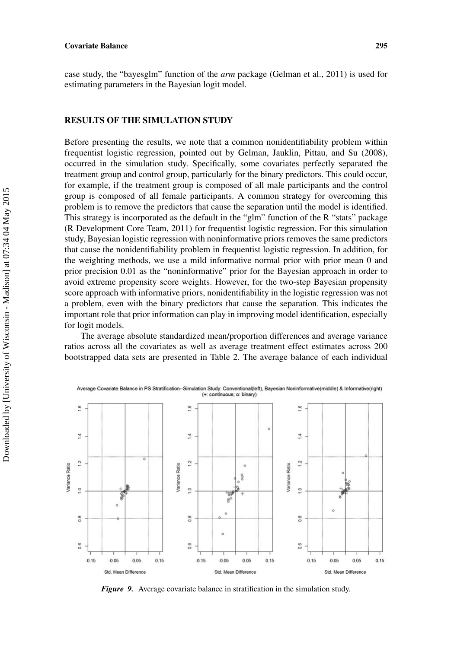case study, the "bayesglm" function of the *arm* package (Gelman et al., 2011) is used for estimating parameters in the Bayesian logit model.

# **RESULTS OF THE SIMULATION STUDY**

Before presenting the results, we note that a common nonidentifiability problem within frequentist logistic regression, pointed out by Gelman, Jauklin, Pittau, and Su (2008), occurred in the simulation study. Specifically, some covariates perfectly separated the treatment group and control group, particularly for the binary predictors. This could occur, for example, if the treatment group is composed of all male participants and the control group is composed of all female participants. A common strategy for overcoming this problem is to remove the predictors that cause the separation until the model is identified. This strategy is incorporated as the default in the "glm" function of the R "stats" package (R Development Core Team, 2011) for frequentist logistic regression. For this simulation study, Bayesian logistic regression with noninformative priors removes the same predictors that cause the nonidentifiability problem in frequentist logistic regression. In addition, for the weighting methods, we use a mild informative normal prior with prior mean 0 and prior precision 0.01 as the "noninformative" prior for the Bayesian approach in order to avoid extreme propensity score weights. However, for the two-step Bayesian propensity score approach with informative priors, nonidentifiability in the logistic regression was not a problem, even with the binary predictors that cause the separation. This indicates the important role that prior information can play in improving model identification, especially for logit models.

The average absolute standardized mean/proportion differences and average variance ratios across all the covariates as well as average treatment effect estimates across 200 bootstrapped data sets are presented in Table 2. The average balance of each individual



Average Covariate Balance in PS Stratification--Simulation Study: Conventional(left), Bayesian Noninformative(middle) & Informative(right) (+: continuous; o: binary)

*Figure 9.* Average covariate balance in stratification in the simulation study.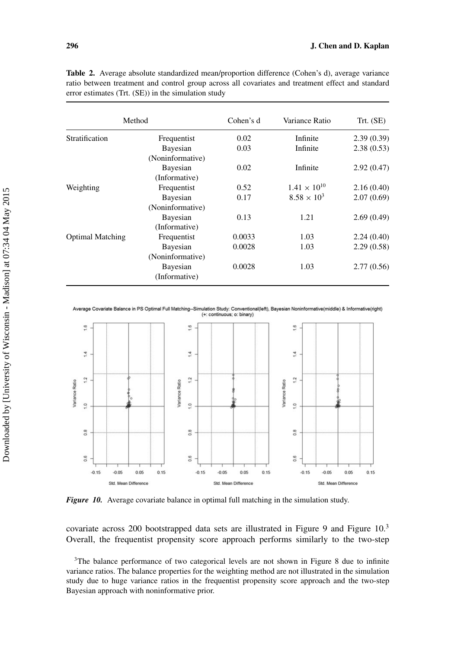| Method                  |                  | Cohen's d | Variance Ratio        | $Trt.$ (SE) |
|-------------------------|------------------|-----------|-----------------------|-------------|
| Stratification          | Frequentist      | 0.02      | Infinite              | 2.39(0.39)  |
|                         | Bayesian         | 0.03      | Infinite              | 2.38(0.53)  |
|                         | (Noninformative) |           |                       |             |
|                         | Bayesian         | 0.02      | Infinite              | 2.92(0.47)  |
|                         | (Informative)    |           |                       |             |
| Weighting               | Frequentist      | 0.52      | $1.41 \times 10^{10}$ | 2.16(0.40)  |
|                         | Bayesian         | 0.17      | $8.58 \times 10^{3}$  | 2.07(0.69)  |
|                         | (Noninformative) |           |                       |             |
|                         | Bayesian         | 0.13      | 1.21                  | 2.69(0.49)  |
|                         | (Informative)    |           |                       |             |
| <b>Optimal Matching</b> | Frequentist      | 0.0033    | 1.03                  | 2.24(0.40)  |
|                         | Bayesian         | 0.0028    | 1.03                  | 2.29(0.58)  |
|                         | (Noninformative) |           |                       |             |
|                         | Bayesian         | 0.0028    | 1.03                  | 2.77(0.56)  |
|                         | (Informative)    |           |                       |             |

**Table 2.** Average absolute standardized mean/proportion difference (Cohen's d), average variance ratio between treatment and control group across all covariates and treatment effect and standard error estimates (Trt. (SE)) in the simulation study

Average Covariate Balance in PS Optimal Full Matching-Simulation Study: Conventional(left), Bayesian Noninformative(middle) & Informative(right) (+: continuous: o: binary)



*Figure 10.* Average covariate balance in optimal full matching in the simulation study.

covariate across 200 bootstrapped data sets are illustrated in Figure 9 and Figure 10.3 Overall, the frequentist propensity score approach performs similarly to the two-step

<sup>3</sup>The balance performance of two categorical levels are not shown in Figure 8 due to infinite variance ratios. The balance properties for the weighting method are not illustrated in the simulation study due to huge variance ratios in the frequentist propensity score approach and the two-step Bayesian approach with noninformative prior.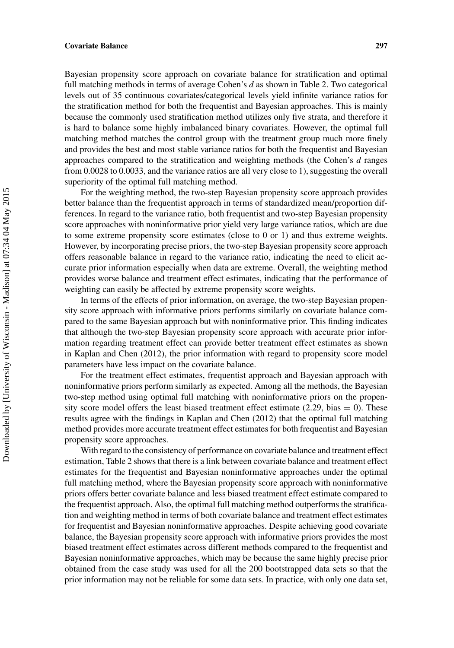Bayesian propensity score approach on covariate balance for stratification and optimal full matching methods in terms of average Cohen's *d* as shown in Table 2. Two categorical levels out of 35 continuous covariates/categorical levels yield infinite variance ratios for the stratification method for both the frequentist and Bayesian approaches. This is mainly because the commonly used stratification method utilizes only five strata, and therefore it is hard to balance some highly imbalanced binary covariates. However, the optimal full matching method matches the control group with the treatment group much more finely and provides the best and most stable variance ratios for both the frequentist and Bayesian approaches compared to the stratification and weighting methods (the Cohen's *d* ranges from 0.0028 to 0.0033, and the variance ratios are all very close to 1), suggesting the overall superiority of the optimal full matching method.

For the weighting method, the two-step Bayesian propensity score approach provides better balance than the frequentist approach in terms of standardized mean/proportion differences. In regard to the variance ratio, both frequentist and two-step Bayesian propensity score approaches with noninformative prior yield very large variance ratios, which are due to some extreme propensity score estimates (close to  $0$  or  $1$ ) and thus extreme weights. However, by incorporating precise priors, the two-step Bayesian propensity score approach offers reasonable balance in regard to the variance ratio, indicating the need to elicit accurate prior information especially when data are extreme. Overall, the weighting method provides worse balance and treatment effect estimates, indicating that the performance of weighting can easily be affected by extreme propensity score weights.

In terms of the effects of prior information, on average, the two-step Bayesian propensity score approach with informative priors performs similarly on covariate balance compared to the same Bayesian approach but with noninformative prior. This finding indicates that although the two-step Bayesian propensity score approach with accurate prior information regarding treatment effect can provide better treatment effect estimates as shown in Kaplan and Chen (2012), the prior information with regard to propensity score model parameters have less impact on the covariate balance.

For the treatment effect estimates, frequentist approach and Bayesian approach with noninformative priors perform similarly as expected. Among all the methods, the Bayesian two-step method using optimal full matching with noninformative priors on the propensity score model offers the least biased treatment effect estimate  $(2.29, \text{bias} = 0)$ . These results agree with the findings in Kaplan and Chen (2012) that the optimal full matching method provides more accurate treatment effect estimates for both frequentist and Bayesian propensity score approaches.

With regard to the consistency of performance on covariate balance and treatment effect estimation, Table 2 shows that there is a link between covariate balance and treatment effect estimates for the frequentist and Bayesian noninformative approaches under the optimal full matching method, where the Bayesian propensity score approach with noninformative priors offers better covariate balance and less biased treatment effect estimate compared to the frequentist approach. Also, the optimal full matching method outperforms the stratification and weighting method in terms of both covariate balance and treatment effect estimates for frequentist and Bayesian noninformative approaches. Despite achieving good covariate balance, the Bayesian propensity score approach with informative priors provides the most biased treatment effect estimates across different methods compared to the frequentist and Bayesian noninformative approaches, which may be because the same highly precise prior obtained from the case study was used for all the 200 bootstrapped data sets so that the prior information may not be reliable for some data sets. In practice, with only one data set,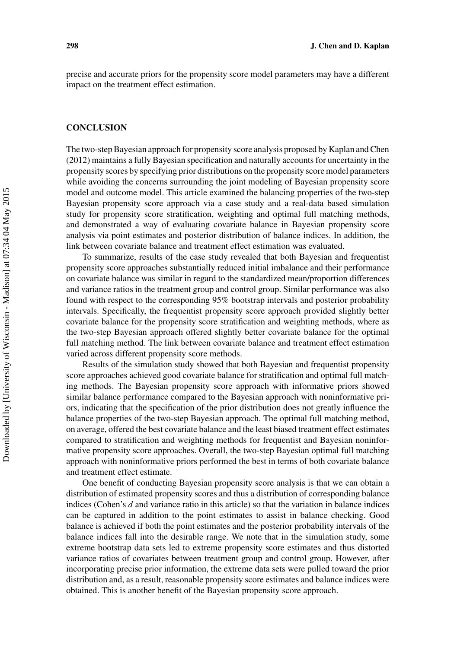precise and accurate priors for the propensity score model parameters may have a different impact on the treatment effect estimation.

### **CONCLUSION**

The two-step Bayesian approach for propensity score analysis proposed by Kaplan and Chen (2012) maintains a fully Bayesian specification and naturally accounts for uncertainty in the propensity scores by specifying prior distributions on the propensity score model parameters while avoiding the concerns surrounding the joint modeling of Bayesian propensity score model and outcome model. This article examined the balancing properties of the two-step Bayesian propensity score approach via a case study and a real-data based simulation study for propensity score stratification, weighting and optimal full matching methods, and demonstrated a way of evaluating covariate balance in Bayesian propensity score analysis via point estimates and posterior distribution of balance indices. In addition, the link between covariate balance and treatment effect estimation was evaluated.

To summarize, results of the case study revealed that both Bayesian and frequentist propensity score approaches substantially reduced initial imbalance and their performance on covariate balance was similar in regard to the standardized mean/proportion differences and variance ratios in the treatment group and control group. Similar performance was also found with respect to the corresponding 95% bootstrap intervals and posterior probability intervals. Specifically, the frequentist propensity score approach provided slightly better covariate balance for the propensity score stratification and weighting methods, where as the two-step Bayesian approach offered slightly better covariate balance for the optimal full matching method. The link between covariate balance and treatment effect estimation varied across different propensity score methods.

Results of the simulation study showed that both Bayesian and frequentist propensity score approaches achieved good covariate balance for stratification and optimal full matching methods. The Bayesian propensity score approach with informative priors showed similar balance performance compared to the Bayesian approach with noninformative priors, indicating that the specification of the prior distribution does not greatly influence the balance properties of the two-step Bayesian approach. The optimal full matching method, on average, offered the best covariate balance and the least biased treatment effect estimates compared to stratification and weighting methods for frequentist and Bayesian noninformative propensity score approaches. Overall, the two-step Bayesian optimal full matching approach with noninformative priors performed the best in terms of both covariate balance and treatment effect estimate.

One benefit of conducting Bayesian propensity score analysis is that we can obtain a distribution of estimated propensity scores and thus a distribution of corresponding balance indices (Cohen's *d* and variance ratio in this article) so that the variation in balance indices can be captured in addition to the point estimates to assist in balance checking. Good balance is achieved if both the point estimates and the posterior probability intervals of the balance indices fall into the desirable range. We note that in the simulation study, some extreme bootstrap data sets led to extreme propensity score estimates and thus distorted variance ratios of covariates between treatment group and control group. However, after incorporating precise prior information, the extreme data sets were pulled toward the prior distribution and, as a result, reasonable propensity score estimates and balance indices were obtained. This is another benefit of the Bayesian propensity score approach.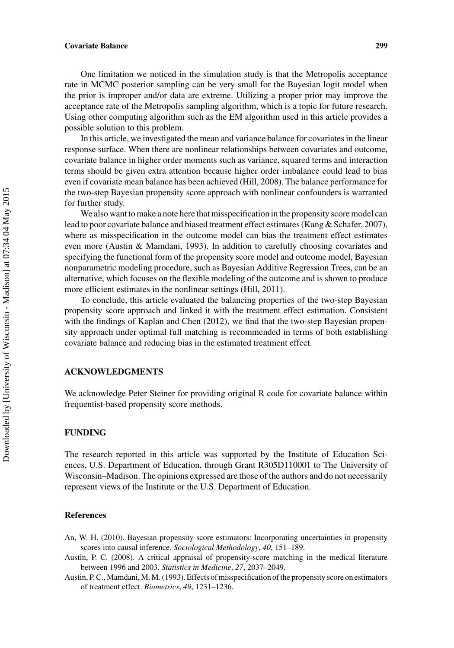One limitation we noticed in the simulation study is that the Metropolis acceptance rate in MCMC posterior sampling can be very small for the Bayesian logit model when the prior is improper and/or data are extreme. Utilizing a proper prior may improve the acceptance rate of the Metropolis sampling algorithm, which is a topic for future research. Using other computing algorithm such as the EM algorithm used in this article provides a possible solution to this problem.

In this article, we investigated the mean and variance balance for covariates in the linear response surface. When there are nonlinear relationships between covariates and outcome, covariate balance in higher order moments such as variance, squared terms and interaction terms should be given extra attention because higher order imbalance could lead to bias even if covariate mean balance has been achieved (Hill, 2008). The balance performance for the two-step Bayesian propensity score approach with nonlinear confounders is warranted for further study.

We also want to make a note here that misspecification in the propensity score model can lead to poor covariate balance and biased treatment effect estimates (Kang & Schafer, 2007), where as misspecification in the outcome model can bias the treatment effect estimates even more (Austin & Mamdani, 1993). In addition to carefully choosing covariates and specifying the functional form of the propensity score model and outcome model, Bayesian nonparametric modeling procedure, such as Bayesian Additive Regression Trees, can be an alternative, which focuses on the flexible modeling of the outcome and is shown to produce more efficient estimates in the nonlinear settings (Hill, 2011).

To conclude, this article evaluated the balancing properties of the two-step Bayesian propensity score approach and linked it with the treatment effect estimation. Consistent with the findings of Kaplan and Chen (2012), we find that the two-step Bayesian propensity approach under optimal full matching is recommended in terms of both establishing covariate balance and reducing bias in the estimated treatment effect.

# **ACKNOWLEDGMENTS**

We acknowledge Peter Steiner for providing original R code for covariate balance within frequentist-based propensity score methods.

## **FUNDING**

The research reported in this article was supported by the Institute of Education Sciences, U.S. Department of Education, through Grant R305D110001 to The University of Wisconsin–Madison. The opinions expressed are those of the authors and do not necessarily represent views of the Institute or the U.S. Department of Education.

#### **References**

- An, W. H. (2010). Bayesian propensity score estimators: Incorporating uncertainties in propensity scores into causal inference. *Sociological Methodology*, *40*, 151–189.
- Austin, P. C. (2008). A critical appraisal of propensity-score matching in the medical literature between 1996 and 2003. *Statistics in Medicine*, *27*, 2037–2049.
- Austin, P. C., Mamdani, M. M. (1993). Effects of misspecification of the propensity score on estimators of treatment effect. *Biometrics*, *49*, 1231–1236.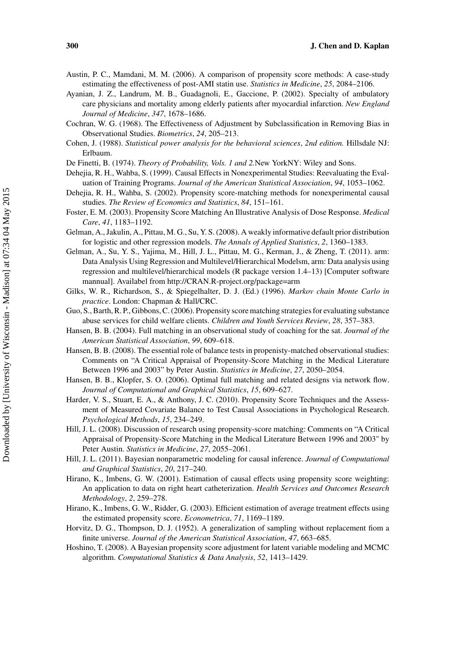- Austin, P. C., Mamdani, M. M. (2006). A comparison of propensity score methods: A case-study estimating the effectiveness of post-AMI statin use. *Statistics in Medicine*, *25*, 2084–2106.
- Ayanian, J. Z., Landrum, M. B., Guadagnoli, E., Gaccione, P. (2002). Specialty of ambulatory care physicians and mortality among elderly patients after myocardial infarction. *New England Journal of Medicine*, *347*, 1678–1686.
- Cochran, W. G. (1968). The Effectiveness of Adjustment by Subclassification in Removing Bias in Observational Studies. *Biometrics*, *24*, 205–213.
- Cohen, J. (1988). *Statistical power analysis for the behavioral sciences*, *2nd edition.* Hillsdale NJ: Erlbaum.
- De Finetti, B. (1974). *Theory of Probability, Vols. 1 and 2.*New YorkNY: Wiley and Sons.
- Dehejia, R. H., Wahba, S. (1999). Causal Effects in Nonexperimental Studies: Reevaluating the Evaluation of Training Programs. *Journal of the American Statistical Association*, *94*, 1053–1062.
- Dehejia, R. H., Wahba, S. (2002). Propensity score-matching methods for nonexperimental causal studies. *The Review of Economics and Statistics*, *84*, 151–161.
- Foster, E. M. (2003). Propensity Score Matching An Illustrative Analysis of Dose Response. *Medical Care*, *41*, 1183–1192.
- Gelman, A., Jakulin, A., Pittau, M. G., Su, Y. S. (2008). A weakly informative default prior distribution for logistic and other regression models. *The Annals of Applied Statistics*, *2*, 1360–1383.
- Gelman, A., Su, Y. S., Yajima, M., Hill, J. L., Pittau, M. G., Kerman, J., & Zheng, T. (2011). arm: Data Analysis Using Regression and Multilevel/Hierarchical Modelsm, arm: Data analysis using regression and multilevel/hierarchical models (R package version 1.4–13) [Computer software mannual]. Availabel from http://CRAN.R-project.org/package=arm
- Gilks, W. R., Richardson, S., & Spiegelhalter, D. J. (Ed.) (1996). *Markov chain Monte Carlo in practice*. London: Chapman & Hall/CRC.
- Guo, S., Barth, R. P., Gibbons, C. (2006). Propensity score matching strategies for evaluating substance abuse services for child welfare clients. *Children and Youth Services Review*, *28*, 357–383.
- Hansen, B. B. (2004). Full matching in an observational study of coaching for the sat. *Journal of the American Statistical Association*, *99*, 609–618.
- Hansen, B. B. (2008). The essential role of balance tests in propenisty-matched observational studies: Comments on "A Critical Appraisal of Propensity-Score Matching in the Medical Literature Between 1996 and 2003" by Peter Austin. *Statistics in Medicine*, *27*, 2050–2054.
- Hansen, B. B., Klopfer, S. O. (2006). Optimal full matching and related designs via network flow. *Journal of Computational and Graphical Statistics*, *15*, 609–627.
- Harder, V. S., Stuart, E. A., & Anthony, J. C. (2010). Propensity Score Techniques and the Assessment of Measured Covariate Balance to Test Causal Associations in Psychological Research. *Psychological Methods*, *15*, 234–249.
- Hill, J. L. (2008). Discussion of research using propensity-score matching: Comments on "A Critical Appraisal of Propensity-Score Matching in the Medical Literature Between 1996 and 2003" by Peter Austin. *Statistics in Medicine*, *27*, 2055–2061.
- Hill, J. L. (2011). Bayesian nonparametric modeling for causal inference. *Journal of Computational and Graphical Statistics*, *20*, 217–240.
- Hirano, K., Imbens, G. W. (2001). Estimation of causal effects using propensity score weighting: An application to data on right heart catheterization. *Health Services and Outcomes Research Methodology*, *2*, 259–278.
- Hirano, K., Imbens, G. W., Ridder, G. (2003). Efficient estimation of average treatment effects using the estimated propensity score. *Econometrica*, *71*, 1169–1189.
- Horvitz, D. G., Thompson, D. J. (1952). A generalization of sampling without replacement fiom a finite universe. *Journal of the American Statistical Association*, *47*, 663–685.
- Hoshino, T. (2008). A Bayesian propensity score adjustment for latent variable modeling and MCMC algorithm. *Computational Statistics & Data Analysis*, *52*, 1413–1429.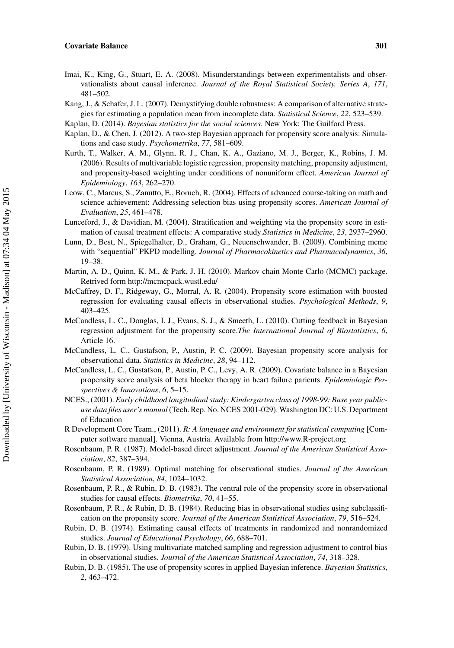- Imai, K., King, G., Stuart, E. A. (2008). Misunderstandings between experimentalists and observationalists about causal inference. *Journal of the Royal Statistical Society, Series A*, *171*, 481–502.
- Kang, J., & Schafer, J. L. (2007). Demystifying double robustness: A comparison of alternative strategies for estimating a population mean from incomplete data. *Statistical Science*, *22*, 523–539.

Kaplan, D. (2014). *Bayesian statistics for the social sciences*. New York: The Guilford Press.

- Kaplan, D., & Chen, J. (2012). A two-step Bayesian approach for propensity score analysis: Simulations and case study. *Psychometrika*, *77*, 581–609.
- Kurth, T., Walker, A. M., Glynn, R. J., Chan, K. A., Gaziano, M. J., Berger, K., Robins, J. M. (2006). Results of multivariable logistic regression, propensity matching, propensity adjustment, and propensity-based weighting under conditions of nonuniform effect. *American Journal of Epidemiology*, *163*, 262–270.
- Leow, C., Marcus, S., Zanutto, E., Boruch, R. (2004). Effects of advanced course-taking on math and science achievement: Addressing selection bias using propensity scores. *American Journal of Evaluation*, *25*, 461–478.
- Lunceford, J., & Davidian, M. (2004). Stratification and weighting via the propensity score in estimation of causal treatment effects: A comparative study.*Statistics in Medicine*, *23*, 2937–2960.
- Lunn, D., Best, N., Spiegelhalter, D., Graham, G., Neuenschwander, B. (2009). Combining mcmc with "sequential" PKPD modelling. *Journal of Pharmacokinetics and Pharmacodynamics*, *36*, 19–38.
- Martin, A. D., Quinn, K. M., & Park, J. H. (2010). Markov chain Monte Carlo (MCMC) package. Retrived form http://mcmcpack.wustl.edu/
- McCaffrey, D. F., Ridgeway, G., Morral, A. R. (2004). Propensity score estimation with boosted regression for evaluating causal effects in observational studies. *Psychological Methods*, *9*, 403–425.
- McCandless, L. C., Douglas, I. J., Evans, S. J., & Smeeth, L. (2010). Cutting feedback in Bayesian regression adjustment for the propensity score.*The International Journal of Biostatistics*, *6*, Article 16.
- McCandless, L. C., Gustafson, P., Austin, P. C. (2009). Bayesian propensity score analysis for observational data. *Statistics in Medicine*, *28*, 94–112.
- McCandless, L. C., Gustafson, P., Austin, P. C., Levy, A. R. (2009). Covariate balance in a Bayesian propensity score analysis of beta blocker therapy in heart failure parients. *Epidemiologic Perspectives & Innovations*, *6*, 5–15.
- NCES., (2001). *Early childhood longitudinal study: Kindergarten class of 1998-99: Base year publicuse data files user's manual*(Tech. Rep. No. NCES 2001-029). Washington DC: U.S. Department of Education
- R Development Core Team., (2011). *R: A language and environment for statistical computing* [Computer software manual]. Vienna, Austria. Available from http://www.R-project.org
- Rosenbaum, P. R. (1987). Model-based direct adjustment. *Journal of the American Statistical Association*, *82*, 387–394.
- Rosenbaum, P. R. (1989). Optimal matching for observational studies. *Journal of the American Statistical Association*, *84*, 1024–1032.

Rosenbaum, P. R., & Rubin, D. B. (1983). The central role of the propensity score in observational studies for causal effects. *Biometrika*, *70*, 41–55.

- Rosenbaum, P. R., & Rubin, D. B. (1984). Reducing bias in observational studies using subclassification on the propensity score. *Journal of the American Statistical Association*, *79*, 516–524.
- Rubin, D. B. (1974). Estimating causal effects of treatments in randomized and nonrandomized studies. *Journal of Educational Psychology*, *66*, 688–701.
- Rubin, D. B. (1979). Using multivariate matched sampling and regression adjustment to control bias in observational studies. *Journal of the American Statistical Association*, *74*, 318–328.
- Rubin, D. B. (1985). The use of propensity scores in applied Bayesian inference. *Bayesian Statistics*, *2*, 463–472.